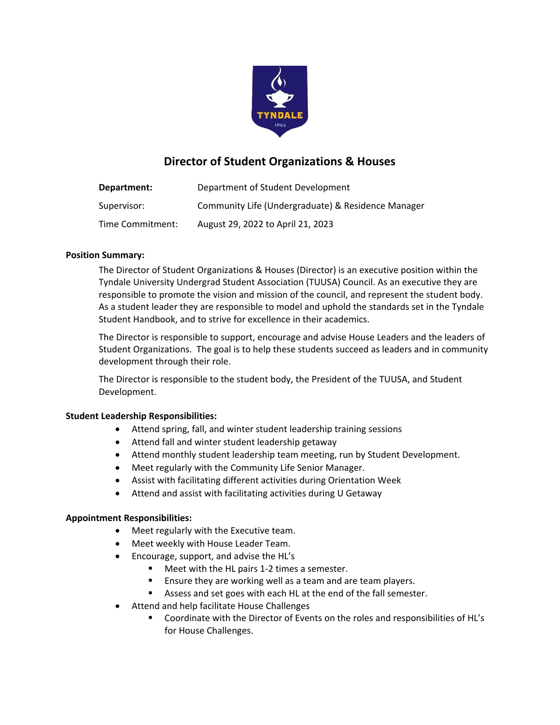

# **Director of Student Organizations & Houses**

| Department:      | Department of Student Development                  |
|------------------|----------------------------------------------------|
| Supervisor:      | Community Life (Undergraduate) & Residence Manager |
| Time Commitment: | August 29, 2022 to April 21, 2023                  |

### **Position Summary:**

The Director of Student Organizations & Houses (Director) is an executive position within the Tyndale University Undergrad Student Association (TUUSA) Council. As an executive they are responsible to promote the vision and mission of the council, and represent the student body. As a student leader they are responsible to model and uphold the standards set in the Tyndale Student Handbook, and to strive for excellence in their academics.

The Director is responsible to support, encourage and advise House Leaders and the leaders of Student Organizations. The goal is to help these students succeed as leaders and in community development through their role.

The Director is responsible to the student body, the President of the TUUSA, and Student Development.

### **Student Leadership Responsibilities:**

- Attend spring, fall, and winter student leadership training sessions
- Attend fall and winter student leadership getaway
- Attend monthly student leadership team meeting, run by Student Development.
- Meet regularly with the Community Life Senior Manager.
- Assist with facilitating different activities during Orientation Week
- Attend and assist with facilitating activities during U Getaway

### **Appointment Responsibilities:**

- Meet regularly with the Executive team.
- Meet weekly with House Leader Team.
- Encourage, support, and advise the HL's
	- Meet with the HL pairs 1-2 times a semester.
	- **Ensure they are working well as a team and are team players.**
	- Assess and set goes with each HL at the end of the fall semester.
- Attend and help facilitate House Challenges
	- Coordinate with the Director of Events on the roles and responsibilities of HL's for House Challenges.